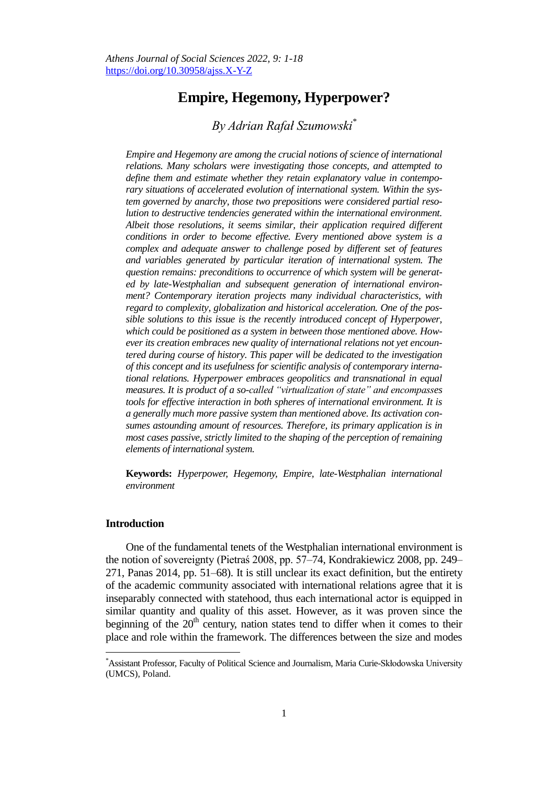# **Empire, Hegemony, Hyperpower?**

## *By Adrian Rafał Szumowski\**

*Empire and Hegemony are among the crucial notions of science of international relations. Many scholars were investigating those concepts, and attempted to define them and estimate whether they retain explanatory value in contemporary situations of accelerated evolution of international system. Within the system governed by anarchy, those two prepositions were considered partial resolution to destructive tendencies generated within the international environment. Albeit those resolutions, it seems similar, their application required different conditions in order to become effective. Every mentioned above system is a complex and adequate answer to challenge posed by different set of features and variables generated by particular iteration of international system. The question remains: preconditions to occurrence of which system will be generated by late-Westphalian and subsequent generation of international environment? Contemporary iteration projects many individual characteristics, with regard to complexity, globalization and historical acceleration. One of the possible solutions to this issue is the recently introduced concept of Hyperpower, which could be positioned as a system in between those mentioned above. However its creation embraces new quality of international relations not yet encountered during course of history. This paper will be dedicated to the investigation of this concept and its usefulness for scientific analysis of contemporary international relations. Hyperpower embraces geopolitics and transnational in equal measures. It is product of a so-called "virtualization of state" and encompasses tools for effective interaction in both spheres of international environment. It is a generally much more passive system than mentioned above. Its activation consumes astounding amount of resources. Therefore, its primary application is in most cases passive, strictly limited to the shaping of the perception of remaining elements of international system.*

**Keywords:** *Hyperpower, Hegemony, Empire, late-Westphalian international environment*

#### **Introduction**

 $\overline{a}$ 

One of the fundamental tenets of the Westphalian international environment is the notion of sovereignty (Pietraś 2008, pp. 57–74, Kondrakiewicz 2008, pp. 249– 271, Panas 2014, pp. 51–68). It is still unclear its exact definition, but the entirety of the academic community associated with international relations agree that it is inseparably connected with statehood, thus each international actor is equipped in similar quantity and quality of this asset. However, as it was proven since the beginning of the  $20<sup>th</sup>$  century, nation states tend to differ when it comes to their place and role within the framework. The differences between the size and modes

<sup>\*</sup>Assistant Professor, Faculty of Political Science and Journalism, Maria Curie-Skłodowska University (UMCS), Poland.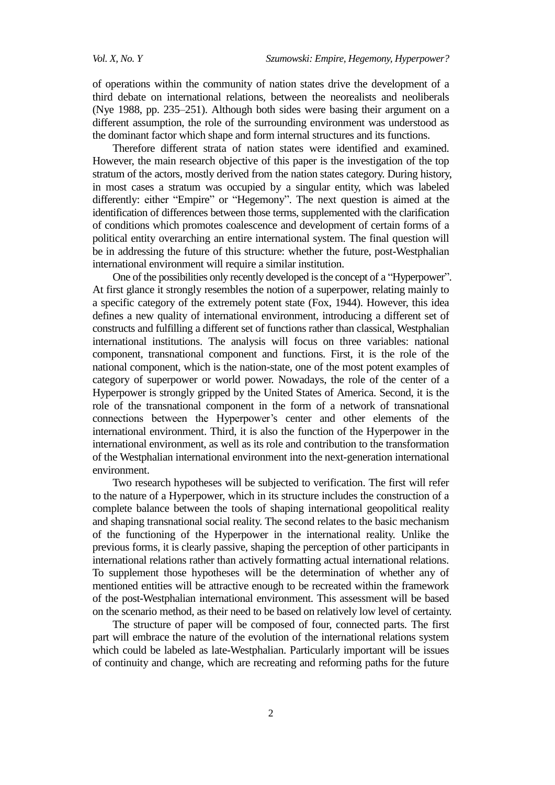of operations within the community of nation states drive the development of a third debate on international relations, between the neorealists and neoliberals (Nye 1988, pp. 235–251). Although both sides were basing their argument on a different assumption, the role of the surrounding environment was understood as the dominant factor which shape and form internal structures and its functions.

Therefore different strata of nation states were identified and examined. However, the main research objective of this paper is the investigation of the top stratum of the actors, mostly derived from the nation states category. During history, in most cases a stratum was occupied by a singular entity, which was labeled differently: either "Empire" or "Hegemony". The next question is aimed at the identification of differences between those terms, supplemented with the clarification of conditions which promotes coalescence and development of certain forms of a political entity overarching an entire international system. The final question will be in addressing the future of this structure: whether the future, post-Westphalian international environment will require a similar institution.

One of the possibilities only recently developed is the concept of a "Hyperpower". At first glance it strongly resembles the notion of a superpower, relating mainly to a specific category of the extremely potent state (Fox, 1944). However, this idea defines a new quality of international environment, introducing a different set of constructs and fulfilling a different set of functions rather than classical, Westphalian international institutions. The analysis will focus on three variables: national component, transnational component and functions. First, it is the role of the national component, which is the nation-state, one of the most potent examples of category of superpower or world power. Nowadays, the role of the center of a Hyperpower is strongly gripped by the United States of America. Second, it is the role of the transnational component in the form of a network of transnational connections between the Hyperpower's center and other elements of the international environment. Third, it is also the function of the Hyperpower in the international environment, as well as its role and contribution to the transformation of the Westphalian international environment into the next-generation international environment.

Two research hypotheses will be subjected to verification. The first will refer to the nature of a Hyperpower, which in its structure includes the construction of a complete balance between the tools of shaping international geopolitical reality and shaping transnational social reality. The second relates to the basic mechanism of the functioning of the Hyperpower in the international reality. Unlike the previous forms, it is clearly passive, shaping the perception of other participants in international relations rather than actively formatting actual international relations. To supplement those hypotheses will be the determination of whether any of mentioned entities will be attractive enough to be recreated within the framework of the post-Westphalian international environment. This assessment will be based on the scenario method, as their need to be based on relatively low level of certainty.

The structure of paper will be composed of four, connected parts. The first part will embrace the nature of the evolution of the international relations system which could be labeled as late-Westphalian. Particularly important will be issues of continuity and change, which are recreating and reforming paths for the future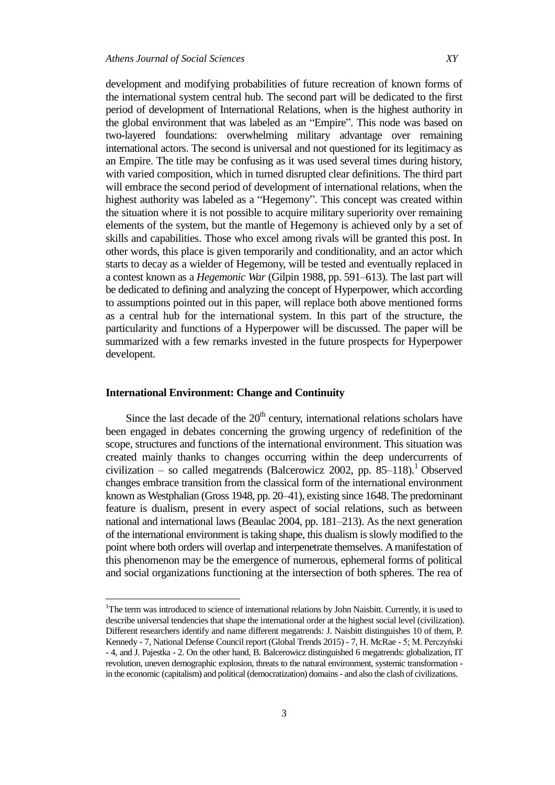development and modifying probabilities of future recreation of known forms of the international system central hub. The second part will be dedicated to the first period of development of International Relations, when is the highest authority in the global environment that was labeled as an "Empire". This node was based on two-layered foundations: overwhelming military advantage over remaining international actors. The second is universal and not questioned for its legitimacy as an Empire. The title may be confusing as it was used several times during history, with varied composition, which in turned disrupted clear definitions. The third part will embrace the second period of development of international relations, when the highest authority was labeled as a "Hegemony". This concept was created within the situation where it is not possible to acquire military superiority over remaining elements of the system, but the mantle of Hegemony is achieved only by a set of skills and capabilities. Those who excel among rivals will be granted this post. In other words, this place is given temporarily and conditionality, and an actor which starts to decay as a wielder of Hegemony, will be tested and eventually replaced in a contest known as a *Hegemonic War* (Gilpin 1988, pp. 591–613). The last part will be dedicated to defining and analyzing the concept of Hyperpower, which according to assumptions pointed out in this paper, will replace both above mentioned forms as a central hub for the international system. In this part of the structure, the particularity and functions of a Hyperpower will be discussed. The paper will be summarized with a few remarks invested in the future prospects for Hyperpower developent.

### **International Environment: Change and Continuity**

 $\overline{a}$ 

Since the last decade of the  $20<sup>th</sup>$  century, international relations scholars have been engaged in debates concerning the growing urgency of redefinition of the scope, structures and functions of the international environment. This situation was created mainly thanks to changes occurring within the deep undercurrents of civilization – so called megatrends (Balcerowicz 2002, pp. 85–118). <sup>1</sup> Observed changes embrace transition from the classical form of the international environment known as Westphalian (Gross 1948, pp. 20–41), existing since 1648. The predominant feature is dualism, present in every aspect of social relations, such as between national and international laws (Beaulac 2004, pp. 181–213). As the next generation of the international environment is taking shape, this dualism is slowly modified to the point where both orders will overlap and interpenetrate themselves. A manifestation of this phenomenon may be the emergence of numerous, ephemeral forms of political and social organizations functioning at the intersection of both spheres. The rea of

<sup>&</sup>lt;sup>1</sup>The term was introduced to science of international relations by John Naisbitt. Currently, it is used to describe universal tendencies that shape the international order at the highest social level (civilization). Different researchers identify and name different megatrends: J. Naisbitt distinguishes 10 of them, P. Kennedy - 7, National Defense Council report (Global Trends 2015) - 7, H. McRae - 5; M. Perczyński - 4, and J. Pajestka - 2. On the other hand, B. Balcerowicz distinguished 6 megatrends: globalization, IT revolution, uneven demographic explosion, threats to the natural environment, systemic transformation in the economic (capitalism) and political (democratization) domains - and also the clash of civilizations.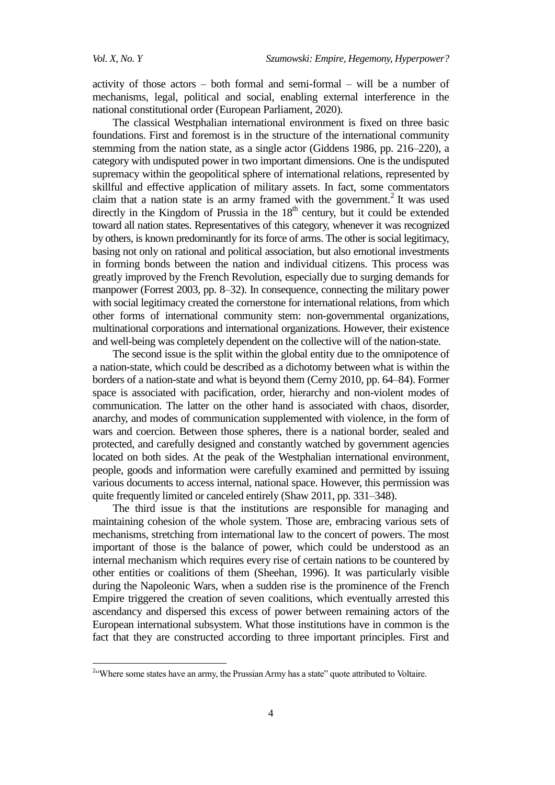activity of those actors – both formal and semi-formal – will be a number of mechanisms, legal, political and social, enabling external interference in the national constitutional order (European Parliament, 2020).

The classical Westphalian international environment is fixed on three basic foundations. First and foremost is in the structure of the international community stemming from the nation state, as a single actor (Giddens 1986, pp. 216–220), a category with undisputed power in two important dimensions. One is the undisputed supremacy within the geopolitical sphere of international relations, represented by skillful and effective application of military assets. In fact, some commentators claim that a nation state is an army framed with the government.<sup>2</sup> It was used directly in the Kingdom of Prussia in the  $18<sup>th</sup>$  century, but it could be extended toward all nation states. Representatives of this category, whenever it was recognized by others, is known predominantly for its force of arms. The other is social legitimacy, basing not only on rational and political association, but also emotional investments in forming bonds between the nation and individual citizens. This process was greatly improved by the French Revolution, especially due to surging demands for manpower (Forrest 2003, pp. 8–32). In consequence, connecting the military power with social legitimacy created the cornerstone for international relations, from which other forms of international community stem: non-governmental organizations, multinational corporations and international organizations. However, their existence and well-being was completely dependent on the collective will of the nation-state.

The second issue is the split within the global entity due to the omnipotence of a nation-state, which could be described as a dichotomy between what is within the borders of a nation-state and what is beyond them (Cerny 2010, pp. 64–84). Former space is associated with pacification, order, hierarchy and non-violent modes of communication. The latter on the other hand is associated with chaos, disorder, anarchy, and modes of communication supplemented with violence, in the form of wars and coercion. Between those spheres, there is a national border, sealed and protected, and carefully designed and constantly watched by government agencies located on both sides. At the peak of the Westphalian international environment, people, goods and information were carefully examined and permitted by issuing various documents to access internal, national space. However, this permission was quite frequently limited or canceled entirely (Shaw 2011, pp. 331–348).

The third issue is that the institutions are responsible for managing and maintaining cohesion of the whole system. Those are, embracing various sets of mechanisms, stretching from international law to the concert of powers. The most important of those is the balance of power, which could be understood as an internal mechanism which requires every rise of certain nations to be countered by other entities or coalitions of them (Sheehan, 1996). It was particularly visible during the Napoleonic Wars, when a sudden rise is the prominence of the French Empire triggered the creation of seven coalitions, which eventually arrested this ascendancy and dispersed this excess of power between remaining actors of the European international subsystem. What those institutions have in common is the fact that they are constructed according to three important principles. First and

<sup>&</sup>lt;sup>2.</sup> Where some states have an army, the Prussian Army has a state" quote attributed to Voltaire.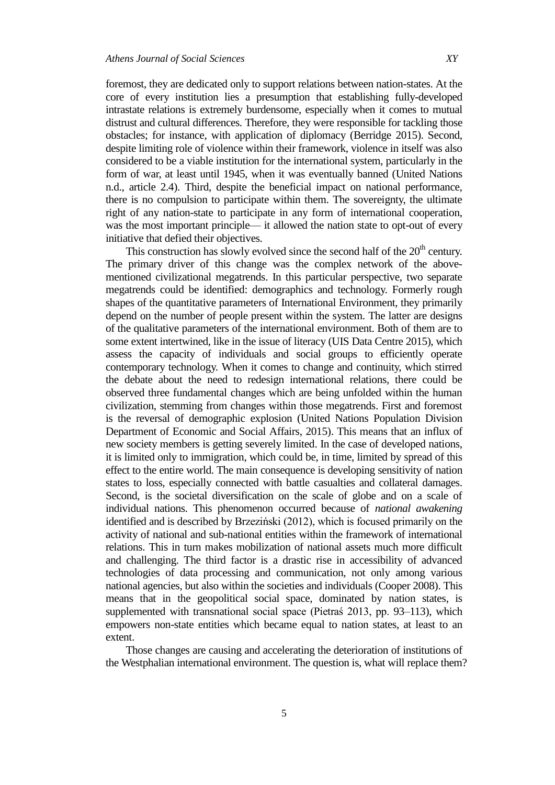foremost, they are dedicated only to support relations between nation-states. At the core of every institution lies a presumption that establishing fully-developed intrastate relations is extremely burdensome, especially when it comes to mutual distrust and cultural differences. Therefore, they were responsible for tackling those obstacles; for instance, with application of diplomacy (Berridge 2015). Second, despite limiting role of violence within their framework, violence in itself was also considered to be a viable institution for the international system, particularly in the form of war, at least until 1945, when it was eventually banned (United Nations n.d., article 2.4). Third, despite the beneficial impact on national performance, there is no compulsion to participate within them. The sovereignty, the ultimate right of any nation-state to participate in any form of international cooperation, was the most important principle— it allowed the nation state to opt-out of every initiative that defied their objectives.

This construction has slowly evolved since the second half of the  $20<sup>th</sup>$  century. The primary driver of this change was the complex network of the abovementioned civilizational megatrends. In this particular perspective, two separate megatrends could be identified: demographics and technology. Formerly rough shapes of the quantitative parameters of International Environment, they primarily depend on the number of people present within the system. The latter are designs of the qualitative parameters of the international environment. Both of them are to some extent intertwined, like in the issue of literacy (UIS Data Centre 2015), which assess the capacity of individuals and social groups to efficiently operate contemporary technology. When it comes to change and continuity, which stirred the debate about the need to redesign international relations, there could be observed three fundamental changes which are being unfolded within the human civilization, stemming from changes within those megatrends. First and foremost is the reversal of demographic explosion (United Nations Population Division Department of Economic and Social Affairs, 2015). This means that an influx of new society members is getting severely limited. In the case of developed nations, it is limited only to immigration, which could be, in time, limited by spread of this effect to the entire world. The main consequence is developing sensitivity of nation states to loss, especially connected with battle casualties and collateral damages. Second, is the societal diversification on the scale of globe and on a scale of individual nations. This phenomenon occurred because of *national awakening* identified and is described by Brzeziński (2012), which is focused primarily on the activity of national and sub-national entities within the framework of international relations. This in turn makes mobilization of national assets much more difficult and challenging. The third factor is a drastic rise in accessibility of advanced technologies of data processing and communication, not only among various national agencies, but also within the societies and individuals (Cooper 2008). This means that in the geopolitical social space, dominated by nation states, is supplemented with transnational social space (Pietraś 2013, pp. 93–113), which empowers non-state entities which became equal to nation states, at least to an extent.

Those changes are causing and accelerating the deterioration of institutions of the Westphalian international environment. The question is, what will replace them?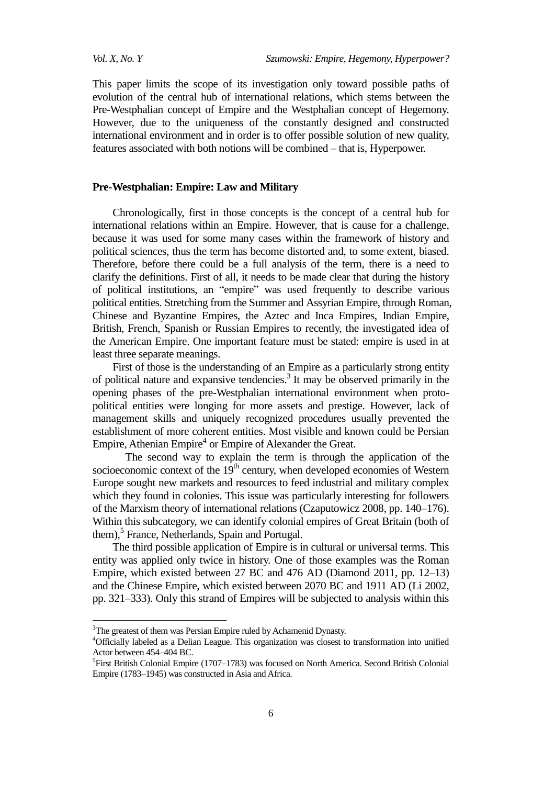*Vol. X, No. Y Szumowski: Empire, Hegemony, Hyperpower?*

This paper limits the scope of its investigation only toward possible paths of evolution of the central hub of international relations, which stems between the Pre-Westphalian concept of Empire and the Westphalian concept of Hegemony. However, due to the uniqueness of the constantly designed and constructed international environment and in order is to offer possible solution of new quality, features associated with both notions will be combined – that is, Hyperpower.

#### **Pre-Westphalian: Empire: Law and Military**

Chronologically, first in those concepts is the concept of a central hub for international relations within an Empire. However, that is cause for a challenge, because it was used for some many cases within the framework of history and political sciences, thus the term has become distorted and, to some extent, biased. Therefore, before there could be a full analysis of the term, there is a need to clarify the definitions. First of all, it needs to be made clear that during the history of political institutions, an "empire" was used frequently to describe various political entities. Stretching from the Summer and Assyrian Empire, through Roman, Chinese and Byzantine Empires, the Aztec and Inca Empires, Indian Empire, British, French, Spanish or Russian Empires to recently, the investigated idea of the American Empire. One important feature must be stated: empire is used in at least three separate meanings.

First of those is the understanding of an Empire as a particularly strong entity of political nature and expansive tendencies. 3 It may be observed primarily in the opening phases of the pre-Westphalian international environment when protopolitical entities were longing for more assets and prestige. However, lack of management skills and uniquely recognized procedures usually prevented the establishment of more coherent entities. Most visible and known could be Persian Empire, Athenian Empire<sup>4</sup> or Empire of Alexander the Great.

The second way to explain the term is through the application of the socioeconomic context of the  $19<sup>th</sup>$  century, when developed economies of Western Europe sought new markets and resources to feed industrial and military complex which they found in colonies. This issue was particularly interesting for followers of the Marxism theory of international relations (Czaputowicz 2008, pp. 140–176). Within this subcategory, we can identify colonial empires of Great Britain (both of them), 5 France, Netherlands, Spain and Portugal.

The third possible application of Empire is in cultural or universal terms. This entity was applied only twice in history. One of those examples was the Roman Empire, which existed between 27 BC and 476 AD (Diamond 2011, pp. 12–13) and the Chinese Empire, which existed between 2070 BC and 1911 AD (Li 2002, pp. 321–333). Only this strand of Empires will be subjected to analysis within this

 $\overline{a}$ 

<sup>&</sup>lt;sup>3</sup>The greatest of them was Persian Empire ruled by Achamenid Dynasty.

<sup>&</sup>lt;sup>4</sup>Officially labeled as a Delian League. This organization was closest to transformation into unified Actor between 454–404 BC.

<sup>&</sup>lt;sup>5</sup> First British Colonial Empire (1707–1783) was focused on North America. Second British Colonial Empire (1783–1945) was constructed in Asia and Africa.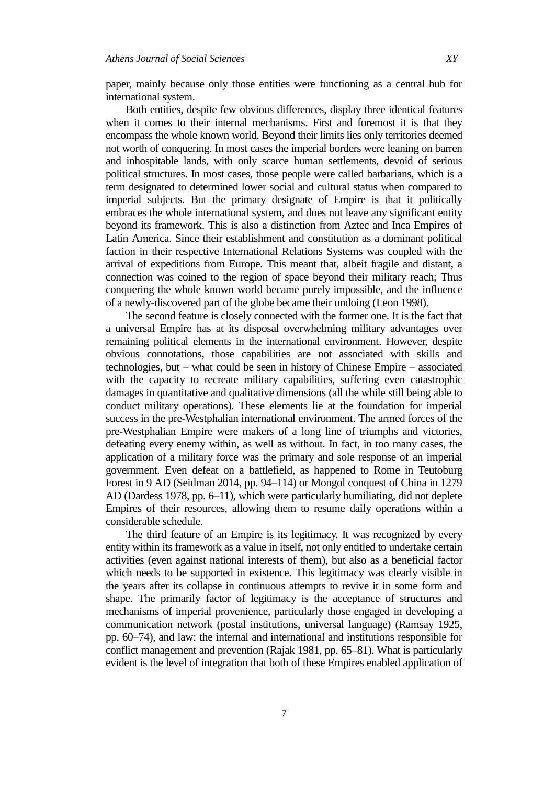paper, mainly because only those entities were functioning as a central hub for international system.

Both entities, despite few obvious differences, display three identical features when it comes to their internal mechanisms. First and foremost it is that they encompass the whole known world. Beyond their limits lies only territories deemed not worth of conquering. In most cases the imperial borders were leaning on barren and inhospitable lands, with only scarce human settlements, devoid of serious political structures. In most cases, those people were called barbarians, which is a term designated to determined lower social and cultural status when compared to imperial subjects. But the primary designate of Empire is that it politically embraces the whole international system, and does not leave any significant entity beyond its framework. This is also a distinction from Aztec and Inca Empires of Latin America. Since their establishment and constitution as a dominant political faction in their respective International Relations Systems was coupled with the arrival of expeditions from Europe. This meant that, albeit fragile and distant, a connection was coined to the region of space beyond their military reach; Thus conquering the whole known world became purely impossible, and the influence of a newly-discovered part of the globe became their undoing (Leon 1998).

The second feature is closely connected with the former one. It is the fact that a universal Empire has at its disposal overwhelming military advantages over remaining political elements in the international environment. However, despite obvious connotations, those capabilities are not associated with skills and technologies, but – what could be seen in history of Chinese Empire – associated with the capacity to recreate military capabilities, suffering even catastrophic damages in quantitative and qualitative dimensions (all the while still being able to conduct military operations). These elements lie at the foundation for imperial success in the pre-Westphalian international environment. The armed forces of the pre-Westphalian Empire were makers of a long line of triumphs and victories, defeating every enemy within, as well as without. In fact, in too many cases, the application of a military force was the primary and sole response of an imperial government. Even defeat on a battlefield, as happened to Rome in Teutoburg Forest in 9 AD (Seidman 2014, pp. 94–114) or Mongol conquest of China in 1279 AD (Dardess 1978, pp. 6–11), which were particularly humiliating, did not deplete Empires of their resources, allowing them to resume daily operations within a considerable schedule.

The third feature of an Empire is its legitimacy. It was recognized by every entity within its framework as a value in itself, not only entitled to undertake certain activities (even against national interests of them), but also as a beneficial factor which needs to be supported in existence. This legitimacy was clearly visible in the years after its collapse in continuous attempts to revive it in some form and shape. The primarily factor of legitimacy is the acceptance of structures and mechanisms of imperial provenience, particularly those engaged in developing a communication network (postal institutions, universal language) (Ramsay 1925, pp. 60–74), and law: the internal and international and institutions responsible for conflict management and prevention (Rajak 1981, pp. 65–81). What is particularly evident is the level of integration that both of these Empires enabled application of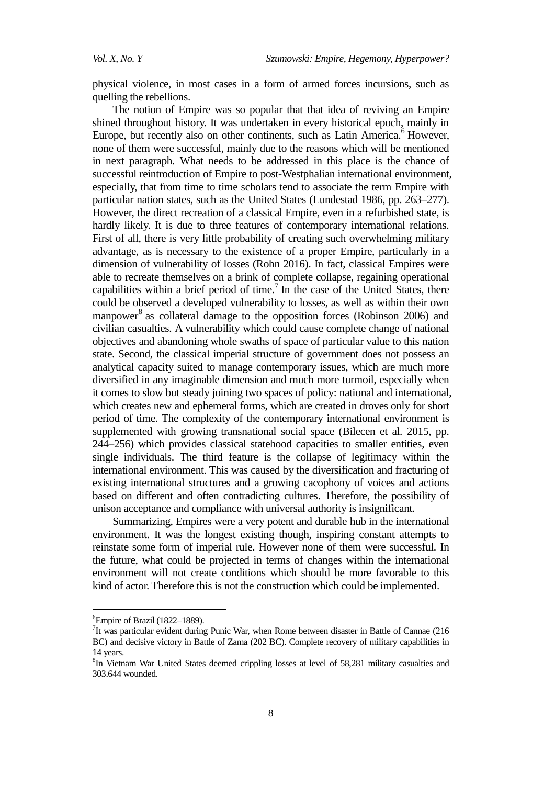physical violence, in most cases in a form of armed forces incursions, such as quelling the rebellions.

The notion of Empire was so popular that that idea of reviving an Empire shined throughout history. It was undertaken in every historical epoch, mainly in Europe, but recently also on other continents, such as Latin America. <sup>6</sup> However, none of them were successful, mainly due to the reasons which will be mentioned in next paragraph. What needs to be addressed in this place is the chance of successful reintroduction of Empire to post-Westphalian international environment, especially, that from time to time scholars tend to associate the term Empire with particular nation states, such as the United States (Lundestad 1986, pp. 263–277). However, the direct recreation of a classical Empire, even in a refurbished state, is hardly likely. It is due to three features of contemporary international relations. First of all, there is very little probability of creating such overwhelming military advantage, as is necessary to the existence of a proper Empire, particularly in a dimension of vulnerability of losses (Rohn 2016). In fact, classical Empires were able to recreate themselves on a brink of complete collapse, regaining operational capabilities within a brief period of time.<sup>7</sup> In the case of the United States, there could be observed a developed vulnerability to losses, as well as within their own manpower<sup>8</sup> as collateral damage to the opposition forces (Robinson 2006) and civilian casualties. A vulnerability which could cause complete change of national objectives and abandoning whole swaths of space of particular value to this nation state. Second, the classical imperial structure of government does not possess an analytical capacity suited to manage contemporary issues, which are much more diversified in any imaginable dimension and much more turmoil, especially when it comes to slow but steady joining two spaces of policy: national and international, which creates new and ephemeral forms, which are created in droves only for short period of time. The complexity of the contemporary international environment is supplemented with growing transnational social space (Bilecen et al. 2015, pp. 244–256) which provides classical statehood capacities to smaller entities, even single individuals. The third feature is the collapse of legitimacy within the international environment. This was caused by the diversification and fracturing of existing international structures and a growing cacophony of voices and actions based on different and often contradicting cultures. Therefore, the possibility of unison acceptance and compliance with universal authority is insignificant.

Summarizing, Empires were a very potent and durable hub in the international environment. It was the longest existing though, inspiring constant attempts to reinstate some form of imperial rule. However none of them were successful. In the future, what could be projected in terms of changes within the international environment will not create conditions which should be more favorable to this kind of actor. Therefore this is not the construction which could be implemented.

 $\overline{a}$ 

 ${}^{6}$ Empire of Brazil (1822–1889).

<sup>&</sup>lt;sup>7</sup>It was particular evident during Punic War, when Rome between disaster in Battle of Cannae (216 BC) and decisive victory in Battle of Zama (202 BC). Complete recovery of military capabilities in 14 years.

<sup>&</sup>lt;sup>8</sup>In Vietnam War United States deemed crippling losses at level of 58,281 military casualties and 303.644 wounded.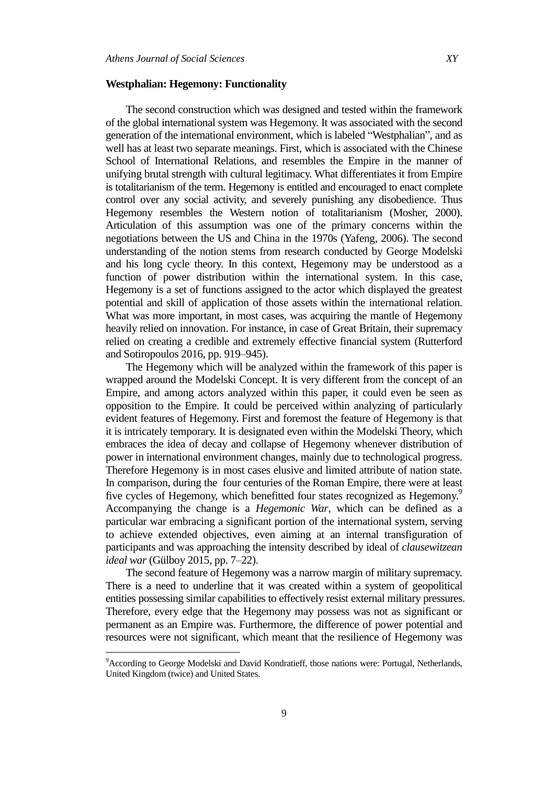#### **Westphalian: Hegemony: Functionality**

The second construction which was designed and tested within the framework of the global international system was Hegemony. It was associated with the second generation of the international environment, which is labeled "Westphalian", and as well has at least two separate meanings. First, which is associated with the Chinese School of International Relations, and resembles the Empire in the manner of unifying brutal strength with cultural legitimacy. What differentiates it from Empire is totalitarianism of the term. Hegemony is entitled and encouraged to enact complete control over any social activity, and severely punishing any disobedience. Thus Hegemony resembles the Western notion of totalitarianism (Mosher, 2000). Articulation of this assumption was one of the primary concerns within the negotiations between the US and China in the 1970s (Yafeng, 2006). The second understanding of the notion stems from research conducted by George Modelski and his long cycle theory. In this context, Hegemony may be understood as a function of power distribution within the international system. In this case, Hegemony is a set of functions assigned to the actor which displayed the greatest potential and skill of application of those assets within the international relation. What was more important, in most cases, was acquiring the mantle of Hegemony heavily relied on innovation. For instance, in case of Great Britain, their supremacy relied on creating a credible and extremely effective financial system (Rutterford and Sotiropoulos 2016, pp. 919–945).

The Hegemony which will be analyzed within the framework of this paper is wrapped around the Modelski Concept. It is very different from the concept of an Empire, and among actors analyzed within this paper, it could even be seen as opposition to the Empire. It could be perceived within analyzing of particularly evident features of Hegemony. First and foremost the feature of Hegemony is that it is intricately temporary. It is designated even within the Modelski Theory, which embraces the idea of decay and collapse of Hegemony whenever distribution of power in international environment changes, mainly due to technological progress. Therefore Hegemony is in most cases elusive and limited attribute of nation state. In comparison, during the four centuries of the Roman Empire, there were at least five cycles of Hegemony, which benefitted four states recognized as Hegemony.<sup>9</sup> Accompanying the change is a *Hegemonic War*, which can be defined as a particular war embracing a significant portion of the international system, serving to achieve extended objectives, even aiming at an internal transfiguration of participants and was approaching the intensity described by ideal of *clausewitzean ideal war* (Gülboy 2015, pp. 7–22).

The second feature of Hegemony was a narrow margin of military supremacy. There is a need to underline that it was created within a system of geopolitical entities possessing similar capabilities to effectively resist external military pressures. Therefore, every edge that the Hegemony may possess was not as significant or permanent as an Empire was. Furthermore, the difference of power potential and resources were not significant, which meant that the resilience of Hegemony was

 $\overline{a}$ 

<sup>&</sup>lt;sup>9</sup> According to George Modelski and David Kondratieff, those nations were: Portugal, Netherlands, United Kingdom (twice) and United States.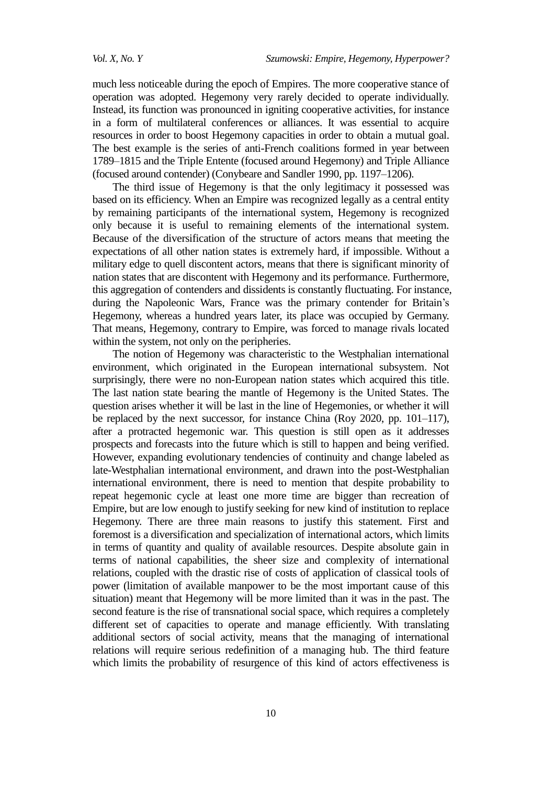much less noticeable during the epoch of Empires. The more cooperative stance of operation was adopted. Hegemony very rarely decided to operate individually. Instead, its function was pronounced in igniting cooperative activities, for instance in a form of multilateral conferences or alliances. It was essential to acquire resources in order to boost Hegemony capacities in order to obtain a mutual goal. The best example is the series of anti-French coalitions formed in year between 1789–1815 and the Triple Entente (focused around Hegemony) and Triple Alliance (focused around contender) (Conybeare and Sandler 1990, pp. 1197–1206).

The third issue of Hegemony is that the only legitimacy it possessed was based on its efficiency. When an Empire was recognized legally as a central entity by remaining participants of the international system, Hegemony is recognized only because it is useful to remaining elements of the international system. Because of the diversification of the structure of actors means that meeting the expectations of all other nation states is extremely hard, if impossible. Without a military edge to quell discontent actors, means that there is significant minority of nation states that are discontent with Hegemony and its performance. Furthermore, this aggregation of contenders and dissidents is constantly fluctuating. For instance, during the Napoleonic Wars, France was the primary contender for Britain's Hegemony, whereas a hundred years later, its place was occupied by Germany. That means, Hegemony, contrary to Empire, was forced to manage rivals located within the system, not only on the peripheries.

The notion of Hegemony was characteristic to the Westphalian international environment, which originated in the European international subsystem. Not surprisingly, there were no non-European nation states which acquired this title. The last nation state bearing the mantle of Hegemony is the United States. The question arises whether it will be last in the line of Hegemonies, or whether it will be replaced by the next successor, for instance China (Roy 2020, pp. 101–117), after a protracted hegemonic war. This question is still open as it addresses prospects and forecasts into the future which is still to happen and being verified. However, expanding evolutionary tendencies of continuity and change labeled as late-Westphalian international environment, and drawn into the post-Westphalian international environment, there is need to mention that despite probability to repeat hegemonic cycle at least one more time are bigger than recreation of Empire, but are low enough to justify seeking for new kind of institution to replace Hegemony. There are three main reasons to justify this statement. First and foremost is a diversification and specialization of international actors, which limits in terms of quantity and quality of available resources. Despite absolute gain in terms of national capabilities, the sheer size and complexity of international relations, coupled with the drastic rise of costs of application of classical tools of power (limitation of available manpower to be the most important cause of this situation) meant that Hegemony will be more limited than it was in the past. The second feature is the rise of transnational social space, which requires a completely different set of capacities to operate and manage efficiently. With translating additional sectors of social activity, means that the managing of international relations will require serious redefinition of a managing hub. The third feature which limits the probability of resurgence of this kind of actors effectiveness is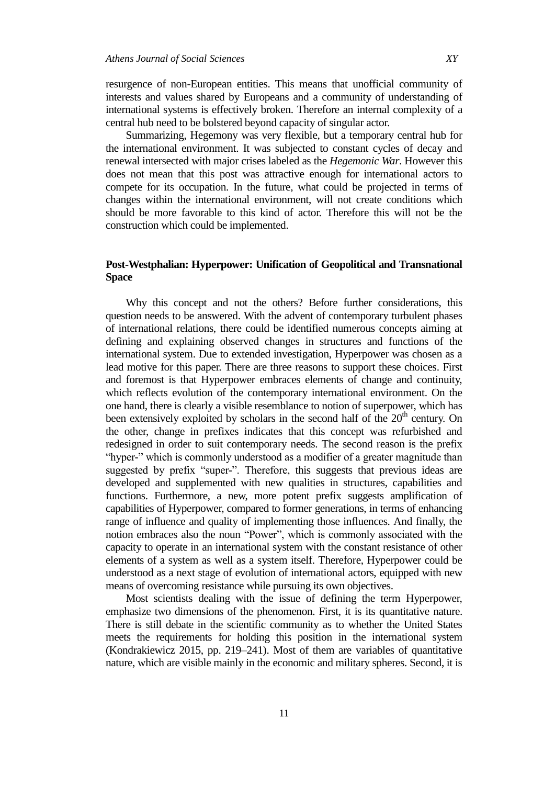resurgence of non-European entities. This means that unofficial community of interests and values shared by Europeans and a community of understanding of international systems is effectively broken. Therefore an internal complexity of a central hub need to be bolstered beyond capacity of singular actor.

Summarizing, Hegemony was very flexible, but a temporary central hub for the international environment. It was subjected to constant cycles of decay and renewal intersected with major crises labeled as the *Hegemonic War*. However this does not mean that this post was attractive enough for international actors to compete for its occupation. In the future, what could be projected in terms of changes within the international environment, will not create conditions which should be more favorable to this kind of actor. Therefore this will not be the construction which could be implemented.

## **Post-Westphalian: Hyperpower: Unification of Geopolitical and Transnational Space**

Why this concept and not the others? Before further considerations, this question needs to be answered. With the advent of contemporary turbulent phases of international relations, there could be identified numerous concepts aiming at defining and explaining observed changes in structures and functions of the international system. Due to extended investigation, Hyperpower was chosen as a lead motive for this paper. There are three reasons to support these choices. First and foremost is that Hyperpower embraces elements of change and continuity, which reflects evolution of the contemporary international environment. On the one hand, there is clearly a visible resemblance to notion of superpower, which has been extensively exploited by scholars in the second half of the  $20<sup>th</sup>$  century. On the other, change in prefixes indicates that this concept was refurbished and redesigned in order to suit contemporary needs. The second reason is the prefix "hyper-" which is commonly understood as a modifier of a greater magnitude than suggested by prefix "super-". Therefore, this suggests that previous ideas are developed and supplemented with new qualities in structures, capabilities and functions. Furthermore, a new, more potent prefix suggests amplification of capabilities of Hyperpower, compared to former generations, in terms of enhancing range of influence and quality of implementing those influences. And finally, the notion embraces also the noun "Power", which is commonly associated with the capacity to operate in an international system with the constant resistance of other elements of a system as well as a system itself. Therefore, Hyperpower could be understood as a next stage of evolution of international actors, equipped with new means of overcoming resistance while pursuing its own objectives.

Most scientists dealing with the issue of defining the term Hyperpower, emphasize two dimensions of the phenomenon. First, it is its quantitative nature. There is still debate in the scientific community as to whether the United States meets the requirements for holding this position in the international system (Kondrakiewicz 2015, pp. 219–241). Most of them are variables of quantitative nature, which are visible mainly in the economic and military spheres. Second, it is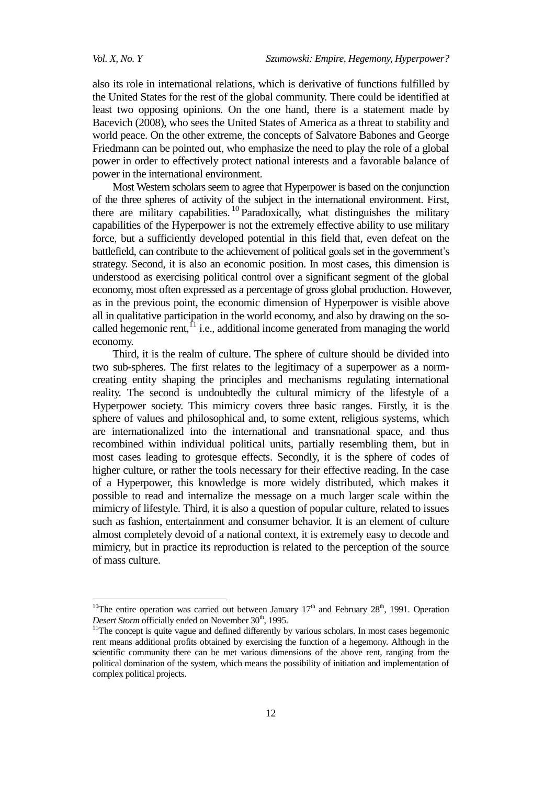also its role in international relations, which is derivative of functions fulfilled by the United States for the rest of the global community. There could be identified at least two opposing opinions. On the one hand, there is a statement made by Bacevich (2008), who sees the United States of America as a threat to stability and world peace. On the other extreme, the concepts of Salvatore Babones and George Friedmann can be pointed out, who emphasize the need to play the role of a global power in order to effectively protect national interests and a favorable balance of power in the international environment.

Most Western scholars seem to agree that Hyperpower is based on the conjunction of the three spheres of activity of the subject in the international environment. First, there are military capabilities.<sup>10</sup> Paradoxically, what distinguishes the military capabilities of the Hyperpower is not the extremely effective ability to use military force, but a sufficiently developed potential in this field that, even defeat on the battlefield, can contribute to the achievement of political goals set in the government's strategy. Second, it is also an economic position. In most cases, this dimension is understood as exercising political control over a significant segment of the global economy, most often expressed as a percentage of gross global production. However, as in the previous point, the economic dimension of Hyperpower is visible above all in qualitative participation in the world economy, and also by drawing on the socalled hegemonic rent,  $^{1}$  i.e., additional income generated from managing the world economy.

Third, it is the realm of culture. The sphere of culture should be divided into two sub-spheres. The first relates to the legitimacy of a superpower as a normcreating entity shaping the principles and mechanisms regulating international reality. The second is undoubtedly the cultural mimicry of the lifestyle of a Hyperpower society. This mimicry covers three basic ranges. Firstly, it is the sphere of values and philosophical and, to some extent, religious systems, which are internationalized into the international and transnational space, and thus recombined within individual political units, partially resembling them, but in most cases leading to grotesque effects. Secondly, it is the sphere of codes of higher culture, or rather the tools necessary for their effective reading. In the case of a Hyperpower, this knowledge is more widely distributed, which makes it possible to read and internalize the message on a much larger scale within the mimicry of lifestyle. Third, it is also a question of popular culture, related to issues such as fashion, entertainment and consumer behavior. It is an element of culture almost completely devoid of a national context, it is extremely easy to decode and mimicry, but in practice its reproduction is related to the perception of the source of mass culture.

<sup>&</sup>lt;sup>10</sup>The entire operation was carried out between January  $17<sup>th</sup>$  and February  $28<sup>th</sup>$ , 1991. Operation *Desert Storm* officially ended on November 30<sup>th</sup>, 1995.

<sup>&</sup>lt;sup>11</sup>The concept is quite vague and defined differently by various scholars. In most cases hegemonic rent means additional profits obtained by exercising the function of a hegemony. Although in the scientific community there can be met various dimensions of the above rent, ranging from the political domination of the system, which means the possibility of initiation and implementation of complex political projects.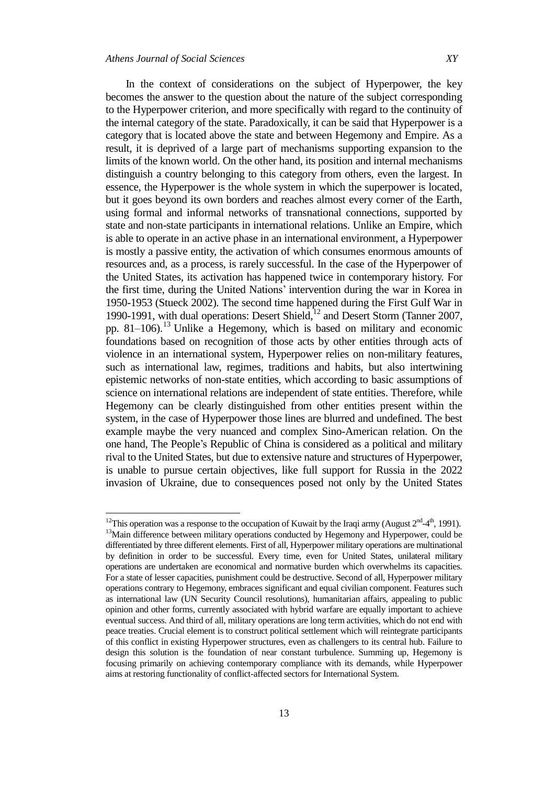In the context of considerations on the subject of Hyperpower, the key becomes the answer to the question about the nature of the subject corresponding to the Hyperpower criterion, and more specifically with regard to the continuity of the internal category of the state. Paradoxically, it can be said that Hyperpower is a category that is located above the state and between Hegemony and Empire. As a result, it is deprived of a large part of mechanisms supporting expansion to the limits of the known world. On the other hand, its position and internal mechanisms distinguish a country belonging to this category from others, even the largest. In essence, the Hyperpower is the whole system in which the superpower is located, but it goes beyond its own borders and reaches almost every corner of the Earth, using formal and informal networks of transnational connections, supported by state and non-state participants in international relations. Unlike an Empire, which is able to operate in an active phase in an international environment, a Hyperpower is mostly a passive entity, the activation of which consumes enormous amounts of resources and, as a process, is rarely successful. In the case of the Hyperpower of the United States, its activation has happened twice in contemporary history. For the first time, during the United Nations' intervention during the war in Korea in 1950-1953 (Stueck 2002). The second time happened during the First Gulf War in 1990-1991, with dual operations: Desert Shield,<sup>12</sup> and Desert Storm (Tanner 2007, pp. 81–106). <sup>13</sup> Unlike a Hegemony, which is based on military and economic foundations based on recognition of those acts by other entities through acts of violence in an international system, Hyperpower relies on non-military features, such as international law, regimes, traditions and habits, but also intertwining epistemic networks of non-state entities, which according to basic assumptions of science on international relations are independent of state entities. Therefore, while Hegemony can be clearly distinguished from other entities present within the system, in the case of Hyperpower those lines are blurred and undefined. The best example maybe the very nuanced and complex Sino-American relation. On the one hand, The People's Republic of China is considered as a political and military rival to the United States, but due to extensive nature and structures of Hyperpower, is unable to pursue certain objectives, like full support for Russia in the 2022 invasion of Ukraine, due to consequences posed not only by the United States

<sup>&</sup>lt;sup>12</sup>This operation was a response to the occupation of Kuwait by the Iraqi army (August  $2^{nd} - 4^{th}$ , 1991). <sup>13</sup>Main difference between military operations conducted by Hegemony and Hyperpower, could be differentiated by three different elements. First of all, Hyperpower military operations are multinational by definition in order to be successful. Every time, even for United States, unilateral military operations are undertaken are economical and normative burden which overwhelms its capacities. For a state of lesser capacities, punishment could be destructive. Second of all, Hyperpower military operations contrary to Hegemony, embraces significant and equal civilian component. Features such as international law (UN Security Council resolutions), humanitarian affairs, appealing to public opinion and other forms, currently associated with hybrid warfare are equally important to achieve eventual success. And third of all, military operations are long term activities, which do not end with peace treaties. Crucial element is to construct political settlement which will reintegrate participants of this conflict in existing Hyperpower structures, even as challengers to its central hub. Failure to design this solution is the foundation of near constant turbulence. Summing up, Hegemony is focusing primarily on achieving contemporary compliance with its demands, while Hyperpower aims at restoring functionality of conflict-affected sectors for International System.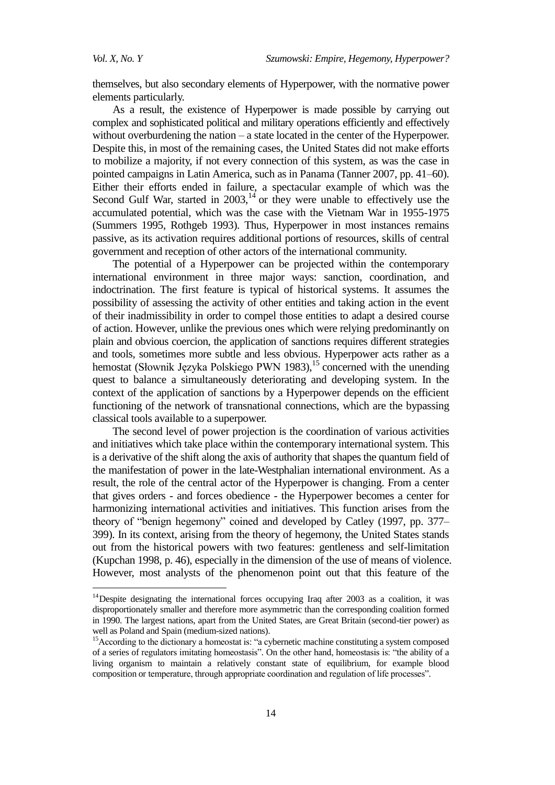themselves, but also secondary elements of Hyperpower, with the normative power elements particularly.

As a result, the existence of Hyperpower is made possible by carrying out complex and sophisticated political and military operations efficiently and effectively without overburdening the nation – a state located in the center of the Hyperpower. Despite this, in most of the remaining cases, the United States did not make efforts to mobilize a majority, if not every connection of this system, as was the case in pointed campaigns in Latin America, such as in Panama (Tanner 2007, pp. 41–60). Either their efforts ended in failure, a spectacular example of which was the Second Gulf War, started in  $2003$ ,<sup>14</sup> or they were unable to effectively use the accumulated potential, which was the case with the Vietnam War in 1955-1975 (Summers 1995, Rothgeb 1993). Thus, Hyperpower in most instances remains passive, as its activation requires additional portions of resources, skills of central government and reception of other actors of the international community.

The potential of a Hyperpower can be projected within the contemporary international environment in three major ways: sanction, coordination, and indoctrination. The first feature is typical of historical systems. It assumes the possibility of assessing the activity of other entities and taking action in the event of their inadmissibility in order to compel those entities to adapt a desired course of action. However, unlike the previous ones which were relying predominantly on plain and obvious coercion, the application of sanctions requires different strategies and tools, sometimes more subtle and less obvious. Hyperpower acts rather as a hemostat (Słownik Języka Polskiego PWN 1983), <sup>15</sup> concerned with the unending quest to balance a simultaneously deteriorating and developing system. In the context of the application of sanctions by a Hyperpower depends on the efficient functioning of the network of transnational connections, which are the bypassing classical tools available to a superpower.

The second level of power projection is the coordination of various activities and initiatives which take place within the contemporary international system. This is a derivative of the shift along the axis of authority that shapes the quantum field of the manifestation of power in the late-Westphalian international environment. As a result, the role of the central actor of the Hyperpower is changing. From a center that gives orders - and forces obedience - the Hyperpower becomes a center for harmonizing international activities and initiatives. This function arises from the theory of "benign hegemony" coined and developed by Catley (1997, pp. 377– 399). In its context, arising from the theory of hegemony, the United States stands out from the historical powers with two features: gentleness and self-limitation (Kupchan 1998, p. 46), especially in the dimension of the use of means of violence. However, most analysts of the phenomenon point out that this feature of the

<sup>&</sup>lt;sup>14</sup>Despite designating the international forces occupying Iraq after 2003 as a coalition, it was disproportionately smaller and therefore more asymmetric than the corresponding coalition formed in 1990. The largest nations, apart from the United States, are Great Britain (second-tier power) as well as Poland and Spain (medium-sized nations).

<sup>&</sup>lt;sup>15</sup>According to the dictionary a homeostat is: "a cybernetic machine constituting a system composed of a series of regulators imitating homeostasis". On the other hand, homeostasis is: "the ability of a living organism to maintain a relatively constant state of equilibrium, for example blood composition or temperature, through appropriate coordination and regulation of life processes".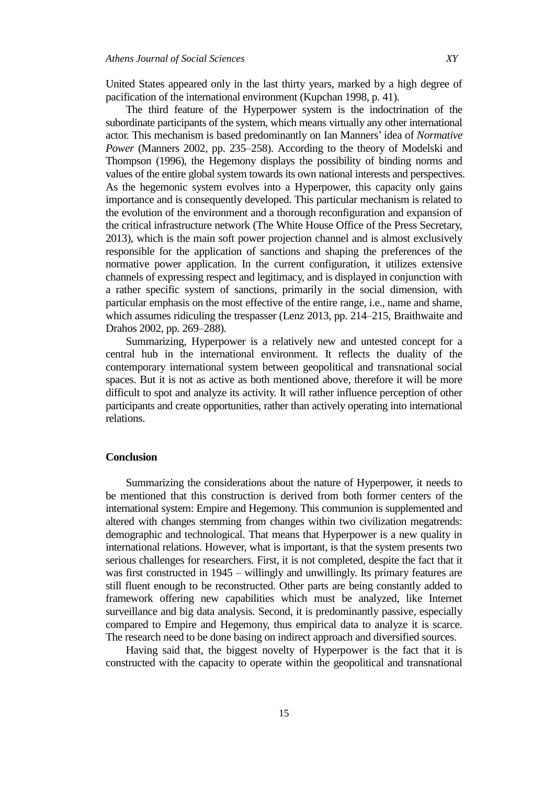United States appeared only in the last thirty years, marked by a high degree of pacification of the international environment (Kupchan 1998, p. 41).

The third feature of the Hyperpower system is the indoctrination of the subordinate participants of the system, which means virtually any other international actor. This mechanism is based predominantly on Ian Manners' idea of *Normative Power* (Manners 2002, pp. 235–258). According to the theory of Modelski and Thompson (1996), the Hegemony displays the possibility of binding norms and values of the entire global system towards its own national interests and perspectives. As the hegemonic system evolves into a Hyperpower, this capacity only gains importance and is consequently developed. This particular mechanism is related to the evolution of the environment and a thorough reconfiguration and expansion of the critical infrastructure network (The White House Office of the Press Secretary, 2013), which is the main soft power projection channel and is almost exclusively responsible for the application of sanctions and shaping the preferences of the normative power application. In the current configuration, it utilizes extensive channels of expressing respect and legitimacy, and is displayed in conjunction with a rather specific system of sanctions, primarily in the social dimension, with particular emphasis on the most effective of the entire range, i.e., name and shame, which assumes ridiculing the trespasser (Lenz 2013, pp. 214–215, Braithwaite and Drahos 2002, pp. 269–288).

Summarizing, Hyperpower is a relatively new and untested concept for a central hub in the international environment. It reflects the duality of the contemporary international system between geopolitical and transnational social spaces. But it is not as active as both mentioned above, therefore it will be more difficult to spot and analyze its activity. It will rather influence perception of other participants and create opportunities, rather than actively operating into international relations.

#### **Conclusion**

Summarizing the considerations about the nature of Hyperpower, it needs to be mentioned that this construction is derived from both former centers of the international system: Empire and Hegemony. This communion is supplemented and altered with changes stemming from changes within two civilization megatrends: demographic and technological. That means that Hyperpower is a new quality in international relations. However, what is important, is that the system presents two serious challenges for researchers. First, it is not completed, despite the fact that it was first constructed in 1945 – willingly and unwillingly. Its primary features are still fluent enough to be reconstructed. Other parts are being constantly added to framework offering new capabilities which must be analyzed, like Internet surveillance and big data analysis. Second, it is predominantly passive, especially compared to Empire and Hegemony, thus empirical data to analyze it is scarce. The research need to be done basing on indirect approach and diversified sources.

Having said that, the biggest novelty of Hyperpower is the fact that it is constructed with the capacity to operate within the geopolitical and transnational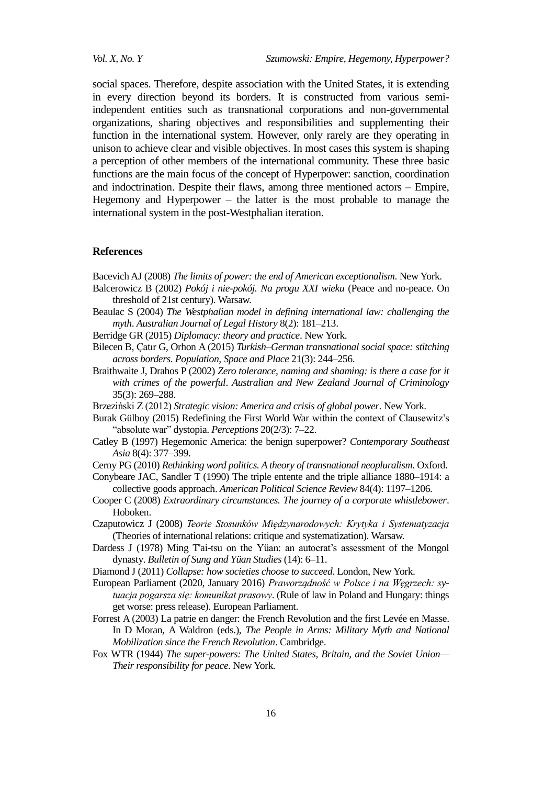social spaces. Therefore, despite association with the United States, it is extending in every direction beyond its borders. It is constructed from various semiindependent entities such as transnational corporations and non-governmental organizations, sharing objectives and responsibilities and supplementing their function in the international system. However, only rarely are they operating in unison to achieve clear and visible objectives. In most cases this system is shaping a perception of other members of the international community. These three basic functions are the main focus of the concept of Hyperpower: sanction, coordination and indoctrination. Despite their flaws, among three mentioned actors – Empire, Hegemony and Hyperpower – the latter is the most probable to manage the international system in the post-Westphalian iteration.

### **References**

Bacevich AJ (2008) *The limits of power: the end of American exceptionalism*. New York.

- Balcerowicz B (2002) *Pokój i nie-pokój. Na progu XXI wieku* (Peace and no-peace. On threshold of 21st century). Warsaw.
- Beaulac S (2004) *The Westphalian model in defining international law: challenging the myth*. *Australian Journal of Legal History* 8(2): 181–213.
- Berridge GR (2015) *Diplomacy: theory and practice*. New York.
- Bilecen B, Çatır G, Orhon A (2015) *Turkish–German transnational social space: stitching across borders*. *Population, Space and Place* 21(3): 244–256.
- Braithwaite J, Drahos P (2002) *Zero tolerance, naming and shaming: is there a case for it with crimes of the powerful*. *Australian and New Zealand Journal of Criminology* 35(3): 269–288.
- Brzeziński Z (2012) *Strategic vision: America and crisis of global power*. New York.
- Burak Gülboy (2015) Redefining the First World War within the context of Clausewitz's ―absolute war‖ dystopia. *Perceptions* 20(2/3): 7–22.
- Catley B (1997) Hegemonic America: the benign superpower? *Contemporary Southeast Asia* 8(4): 377–399.
- Cerny PG (2010) *Rethinking word politics. A theory of transnational neopluralism*. Oxford.
- Conybeare JAC, Sandler T (1990) The triple entente and the triple alliance 1880–1914: a collective goods approach. *American Political Science Review* 84(4): 1197–1206.
- Cooper C (2008) *Extraordinary circumstances. The journey of a corporate whistlebower*. Hoboken.
- Czaputowicz J (2008) *Teorie Stosunków Międzynarodowych: Krytyka i Systematyzacja* (Theories of international relations: critique and systematization). Warsaw.
- Dardess J (1978) Ming T'ai-tsu on the Yüan: an autocrat's assessment of the Mongol dynasty. *Bulletin of Sung and Yüan Studies* (14): 6–11.
- Diamond J (2011) *Collapse: how societies choose to succeed*. London, New York.
- European Parliament (2020, January 2016) *Praworządność w Polsce i na Węgrzech: sytuacja pogarsza się: komunikat prasowy*. (Rule of law in Poland and Hungary: things get worse: press release). European Parliament.
- Forrest A (2003) La patrie en danger: the French Revolution and the first Levée en Masse. In D Moran, A Waldron (eds.), *The People in Arms: Military Myth and National Mobilization since the French Revolution*. Cambridge.
- Fox WTR (1944) *The super-powers: The United States, Britain, and the Soviet Union— Their responsibility for peace*. New York.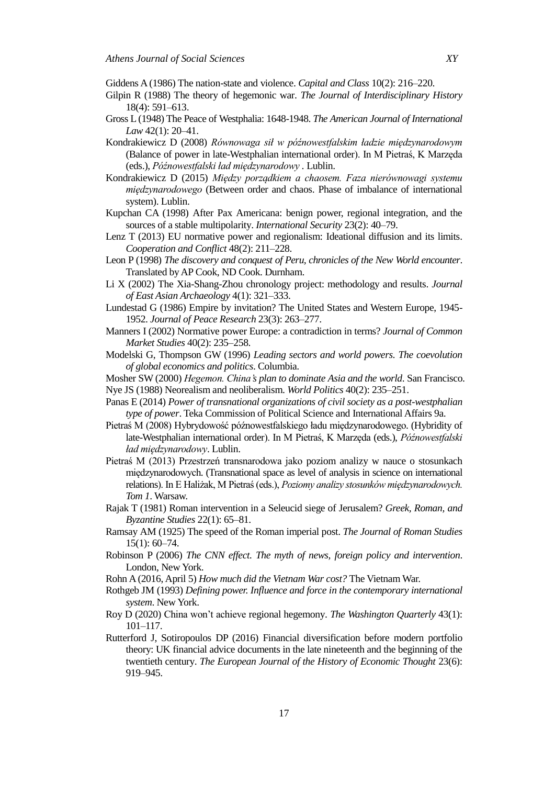Giddens A (1986) The nation-state and violence. *Capital and Class* 10(2): 216–220.

- Gilpin R (1988) The theory of hegemonic war. *The Journal of Interdisciplinary History* 18(4): 591–613.
- Gross L (1948) The Peace of Westphalia: 1648-1948. *The American Journal of International Law* 42(1): 20–41.
- Kondrakiewicz D (2008) *Równowaga sił w późnowestfalskim ładzie międzynarodowym* (Balance of power in late-Westphalian international order). In M Pietraś, K Marzęda (eds.), *Późnowestfalski ład międzynarodowy .* Lublin.
- Kondrakiewicz D (2015) *Między porządkiem a chaosem. Faza nierównowagi systemu międzynarodowego* (Between order and chaos. Phase of imbalance of international system). Lublin.
- Kupchan CA (1998) After Pax Americana: benign power, regional integration, and the sources of a stable multipolarity. *International Security* 23(2): 40–79.
- Lenz T (2013) EU normative power and regionalism: Ideational diffusion and its limits. *Cooperation and Conflict* 48(2): 211–228.
- Leon P (1998) *The discovery and conquest of Peru, chronicles of the New World encounter*. Translated by AP Cook, ND Cook. Durnham.
- Li X (2002) The Xia-Shang-Zhou chronology project: methodology and results. *Journal of East Asian Archaeology* 4(1): 321–333.
- Lundestad G (1986) Empire by invitation? The United States and Western Europe, 1945- 1952. *Journal of Peace Research* 23(3): 263–277.
- Manners I (2002) Normative power Europe: a contradiction in terms? *Journal of Common Market Studies* 40(2): 235–258.
- Modelski G, Thompson GW (1996) *Leading sectors and world powers. The coevolution of global economics and politics*. Columbia.
- Mosher SW (2000) *Hegemon. China's plan to dominate Asia and the world*. San Francisco.
- Nye JS (1988) Neorealism and neoliberalism. *World Politics* 40(2): 235–251.
- Panas E (2014) *Power of transnational organizations of civil society as a post-westphalian type of power*. Teka Commission of Political Science and International Affairs 9a.
- Pietraś M (2008) Hybrydowość późnowestfalskiego ładu międzynarodowego. (Hybridity of late-Westphalian international order). In M Pietraś, K Marzęda (eds.), *Późnowestfalski ład międzynarodowy*. Lublin.
- Pietraś M (2013) Przestrzeń transnarodowa jako poziom analizy w nauce o stosunkach międzynarodowych. (Transnational space as level of analysis in science on international relations). In E Haliżak, M Pietraś (eds.), *Poziomy analizy stosunków międzynarodowych. Tom 1*. Warsaw.
- Rajak T (1981) Roman intervention in a Seleucid siege of Jerusalem? *Greek, Roman, and Byzantine Studies* 22(1): 65–81.
- Ramsay AM (1925) The speed of the Roman imperial post. *The Journal of Roman Studies* 15(1): 60–74.
- Robinson P (2006) *The CNN effect. The myth of news, foreign policy and intervention*. London, New York.
- Rohn A (2016, April 5) *How much did the Vietnam War cost?* The Vietnam War.
- Rothgeb JM (1993) *Defining power. Influence and force in the contemporary international system*. New York.
- Roy D (2020) China won't achieve regional hegemony. *The Washington Quarterly* 43(1): 101–117.
- Rutterford J, Sotiropoulos DP (2016) Financial diversification before modern portfolio theory: UK financial advice documents in the late nineteenth and the beginning of the twentieth century. *The European Journal of the History of Economic Thought* 23(6): 919–945.